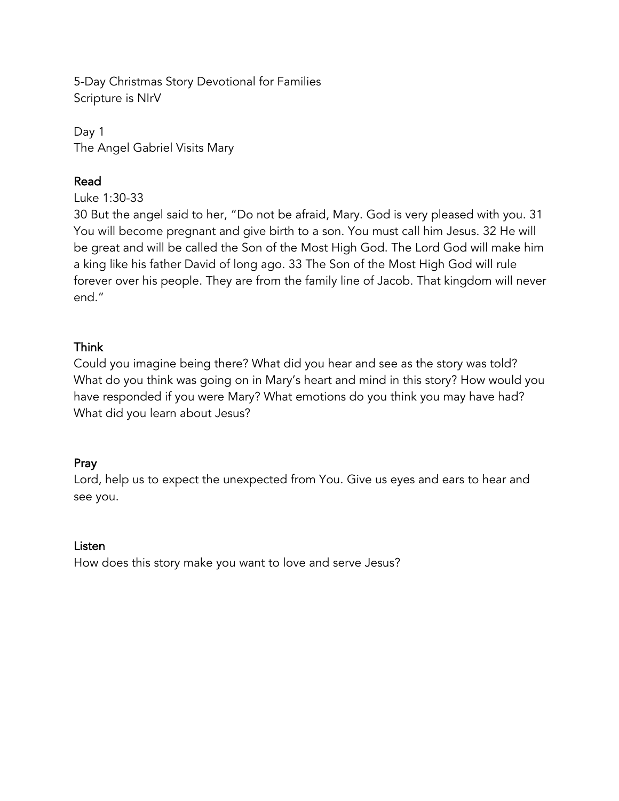5-Day Christmas Story Devotional for Families Scripture is NIrV

Day 1 The Angel Gabriel Visits Mary

# Read

Luke 1:30-33

30 But the angel said to her, "Do not be afraid, Mary. God is very pleased with you. 31 You will become pregnant and give birth to a son. You must call him Jesus. 32 He will be great and will be called the Son of the Most High God. The Lord God will make him a king like his father David of long ago. 33 The Son of the Most High God will rule forever over his people. They are from the family line of Jacob. That kingdom will never end."

# Think

Could you imagine being there? What did you hear and see as the story was told? What do you think was going on in Mary's heart and mind in this story? How would you have responded if you were Mary? What emotions do you think you may have had? What did you learn about Jesus?

# Pray

Lord, help us to expect the unexpected from You. Give us eyes and ears to hear and see you.

#### Listen

How does this story make you want to love and serve Jesus?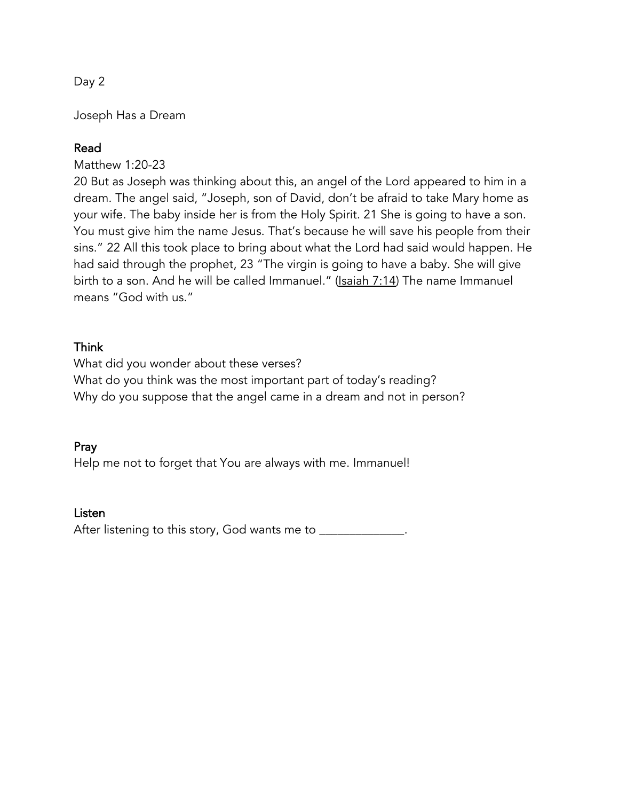Joseph Has a Dream

# Read

Matthew 1:20-23

20 But as Joseph was thinking about this, an angel of the Lord appeared to him in a dream. The angel said, "Joseph, son of David, don't be afraid to take Mary home as your wife. The baby inside her is from the Holy Spirit. 21 She is going to have a son. You must give him the name Jesus. That's because he will save his people from their sins." 22 All this took place to bring about what the Lord had said would happen. He had said through the prophet, 23 "The virgin is going to have a baby. She will give birth to a son. And he will be called Immanuel." (Isaiah 7:14) The name Immanuel means "God with us."

## Think

What did you wonder about these verses? What do you think was the most important part of today's reading? Why do you suppose that the angel came in a dream and not in person?

#### Pray

Help me not to forget that You are always with me. Immanuel!

#### Listen

After listening to this story, God wants me to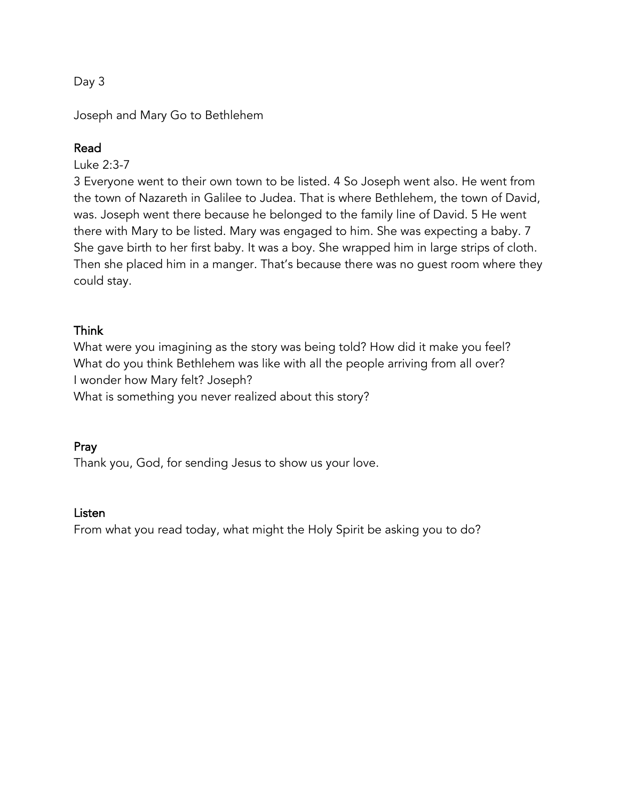Joseph and Mary Go to Bethlehem

## Read

Luke 2:3-7

3 Everyone went to their own town to be listed. 4 So Joseph went also. He went from the town of Nazareth in Galilee to Judea. That is where Bethlehem, the town of David, was. Joseph went there because he belonged to the family line of David. 5 He went there with Mary to be listed. Mary was engaged to him. She was expecting a baby. 7 She gave birth to her first baby. It was a boy. She wrapped him in large strips of cloth. Then she placed him in a manger. That's because there was no guest room where they could stay.

## Think

What were you imagining as the story was being told? How did it make you feel? What do you think Bethlehem was like with all the people arriving from all over? I wonder how Mary felt? Joseph?

What is something you never realized about this story?

#### Pray

Thank you, God, for sending Jesus to show us your love.

#### Listen

From what you read today, what might the Holy Spirit be asking you to do?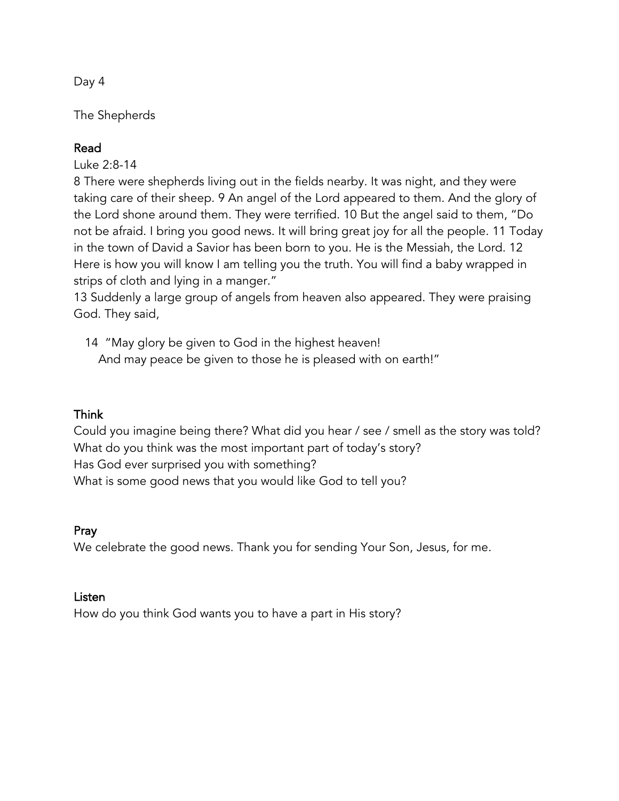The Shepherds

## Read

Luke 2:8-14

8 There were shepherds living out in the fields nearby. It was night, and they were taking care of their sheep. 9 An angel of the Lord appeared to them. And the glory of the Lord shone around them. They were terrified. 10 But the angel said to them, "Do not be afraid. I bring you good news. It will bring great joy for all the people. 11 Today in the town of David a Savior has been born to you. He is the Messiah, the Lord. 12 Here is how you will know I am telling you the truth. You will find a baby wrapped in strips of cloth and lying in a manger."

13 Suddenly a large group of angels from heaven also appeared. They were praising God. They said,

14 "May glory be given to God in the highest heaven! And may peace be given to those he is pleased with on earth!"

#### Think

Could you imagine being there? What did you hear / see / smell as the story was told? What do you think was the most important part of today's story? Has God ever surprised you with something? What is some good news that you would like God to tell you?

#### Pray

We celebrate the good news. Thank you for sending Your Son, Jesus, for me.

#### Listen

How do you think God wants you to have a part in His story?